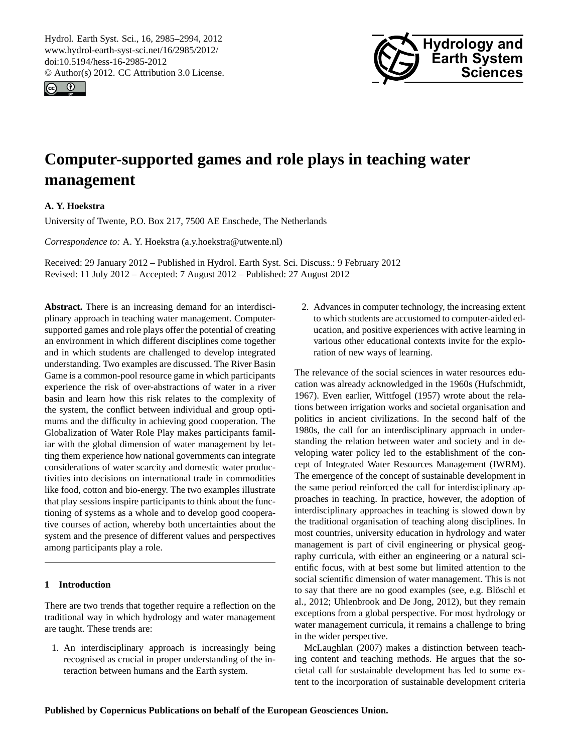<span id="page-0-0"></span>Hydrol. Earth Syst. Sci., 16, 2985–2994, 2012 www.hydrol-earth-syst-sci.net/16/2985/2012/ doi:10.5194/hess-16-2985-2012 © Author(s) 2012. CC Attribution 3.0 License.





# **Computer-supported games and role plays in teaching water management**

# **A. Y. Hoekstra**

University of Twente, P.O. Box 217, 7500 AE Enschede, The Netherlands

*Correspondence to:* A. Y. Hoekstra (a.y.hoekstra@utwente.nl)

Received: 29 January 2012 – Published in Hydrol. Earth Syst. Sci. Discuss.: 9 February 2012 Revised: 11 July 2012 – Accepted: 7 August 2012 – Published: 27 August 2012

**Abstract.** There is an increasing demand for an interdisciplinary approach in teaching water management. Computersupported games and role plays offer the potential of creating an environment in which different disciplines come together and in which students are challenged to develop integrated understanding. Two examples are discussed. The River Basin Game is a common-pool resource game in which participants experience the risk of over-abstractions of water in a river basin and learn how this risk relates to the complexity of the system, the conflict between individual and group optimums and the difficulty in achieving good cooperation. The Globalization of Water Role Play makes participants familiar with the global dimension of water management by letting them experience how national governments can integrate considerations of water scarcity and domestic water productivities into decisions on international trade in commodities like food, cotton and bio-energy. The two examples illustrate that play sessions inspire participants to think about the functioning of systems as a whole and to develop good cooperative courses of action, whereby both uncertainties about the system and the presence of different values and perspectives among participants play a role.

# **1 Introduction**

There are two trends that together require a reflection on the traditional way in which hydrology and water management are taught. These trends are:

1. An interdisciplinary approach is increasingly being recognised as crucial in proper understanding of the interaction between humans and the Earth system.

2. Advances in computer technology, the increasing extent to which students are accustomed to computer-aided education, and positive experiences with active learning in various other educational contexts invite for the exploration of new ways of learning.

The relevance of the social sciences in water resources education was already acknowledged in the 1960s (Hufschmidt, 1967). Even earlier, Wittfogel (1957) wrote about the relations between irrigation works and societal organisation and politics in ancient civilizations. In the second half of the 1980s, the call for an interdisciplinary approach in understanding the relation between water and society and in developing water policy led to the establishment of the concept of Integrated Water Resources Management (IWRM). The emergence of the concept of sustainable development in the same period reinforced the call for interdisciplinary approaches in teaching. In practice, however, the adoption of interdisciplinary approaches in teaching is slowed down by the traditional organisation of teaching along disciplines. In most countries, university education in hydrology and water management is part of civil engineering or physical geography curricula, with either an engineering or a natural scientific focus, with at best some but limited attention to the social scientific dimension of water management. This is not to say that there are no good examples (see, e.g. Blöschl et al., 2012; Uhlenbrook and De Jong, 2012), but they remain exceptions from a global perspective. For most hydrology or water management curricula, it remains a challenge to bring in the wider perspective.

McLaughlan (2007) makes a distinction between teaching content and teaching methods. He argues that the societal call for sustainable development has led to some extent to the incorporation of sustainable development criteria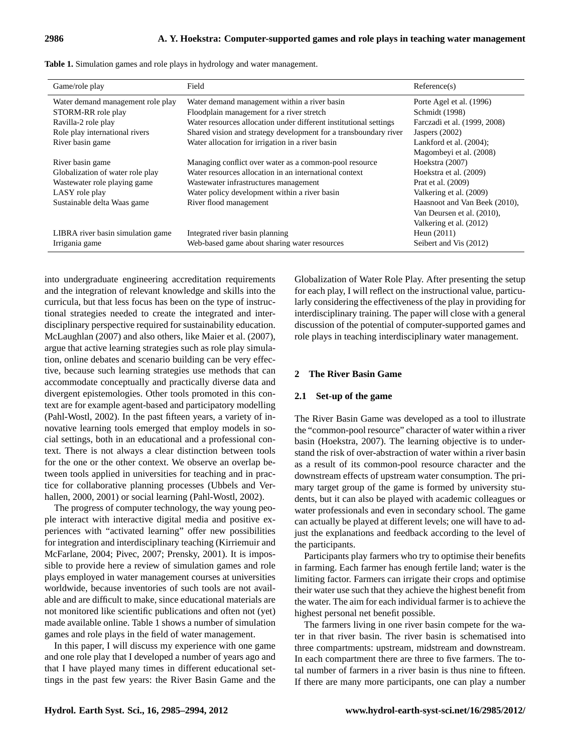| Game/role play                    | Field                                                             | Reference(s)                  |
|-----------------------------------|-------------------------------------------------------------------|-------------------------------|
| Water demand management role play | Water demand management within a river basin                      | Porte Agel et al. (1996)      |
| STORM-RR role play                | Floodplain management for a river stretch                         | Schmidt (1998)                |
| Ravilla-2 role play               | Water resources allocation under different institutional settings | Farczadi et al. (1999, 2008)  |
| Role play international rivers    | Shared vision and strategy development for a transboundary river  | Jaspers $(2002)$              |
| River basin game                  | Water allocation for irrigation in a river basin                  | Lankford et al. $(2004)$ ;    |
|                                   |                                                                   | Magombeyi et al. (2008)       |
| River basin game                  | Managing conflict over water as a common-pool resource            | Hoekstra (2007)               |
| Globalization of water role play  | Water resources allocation in an international context            | Hoekstra et al. (2009)        |
| Wastewater role playing game      | Wastewater infrastructures management                             | Prat et al. (2009)            |
| LASY role play                    | Water policy development within a river basin                     | Valkering et al. (2009)       |
| Sustainable delta Waas game       | River flood management                                            | Haasnoot and Van Beek (2010), |
|                                   |                                                                   | Van Deursen et al. (2010),    |
|                                   |                                                                   | Valkering et al. (2012)       |
| LIBRA river basin simulation game | Integrated river basin planning                                   | Heun $(2011)$                 |
| Irrigania game                    | Web-based game about sharing water resources                      | Seibert and Vis (2012)        |

**Table 1.** Simulation games and role plays in hydrology and water management.

into undergraduate engineering accreditation requirements and the integration of relevant knowledge and skills into the curricula, but that less focus has been on the type of instructional strategies needed to create the integrated and interdisciplinary perspective required for sustainability education. McLaughlan (2007) and also others, like Maier et al. (2007), argue that active learning strategies such as role play simulation, online debates and scenario building can be very effective, because such learning strategies use methods that can accommodate conceptually and practically diverse data and divergent epistemologies. Other tools promoted in this context are for example agent-based and participatory modelling (Pahl-Wostl, 2002). In the past fifteen years, a variety of innovative learning tools emerged that employ models in social settings, both in an educational and a professional context. There is not always a clear distinction between tools for the one or the other context. We observe an overlap between tools applied in universities for teaching and in practice for collaborative planning processes (Ubbels and Verhallen, 2000, 2001) or social learning (Pahl-Wostl, 2002).

The progress of computer technology, the way young people interact with interactive digital media and positive experiences with "activated learning" offer new possibilities for integration and interdisciplinary teaching (Kirriemuir and McFarlane, 2004; Pivec, 2007; Prensky, 2001). It is impossible to provide here a review of simulation games and role plays employed in water management courses at universities worldwide, because inventories of such tools are not available and are difficult to make, since educational materials are not monitored like scientific publications and often not (yet) made available online. Table 1 shows a number of simulation games and role plays in the field of water management.

In this paper, I will discuss my experience with one game and one role play that I developed a number of years ago and that I have played many times in different educational settings in the past few years: the River Basin Game and the Globalization of Water Role Play. After presenting the setup for each play, I will reflect on the instructional value, particularly considering the effectiveness of the play in providing for interdisciplinary training. The paper will close with a general discussion of the potential of computer-supported games and role plays in teaching interdisciplinary water management.

# **2 The River Basin Game**

## **2.1 Set-up of the game**

The River Basin Game was developed as a tool to illustrate the "common-pool resource" character of water within a river basin (Hoekstra, 2007). The learning objective is to understand the risk of over-abstraction of water within a river basin as a result of its common-pool resource character and the downstream effects of upstream water consumption. The primary target group of the game is formed by university students, but it can also be played with academic colleagues or water professionals and even in secondary school. The game can actually be played at different levels; one will have to adjust the explanations and feedback according to the level of the participants.

Participants play farmers who try to optimise their benefits in farming. Each farmer has enough fertile land; water is the limiting factor. Farmers can irrigate their crops and optimise their water use such that they achieve the highest benefit from the water. The aim for each individual farmer is to achieve the highest personal net benefit possible.

The farmers living in one river basin compete for the water in that river basin. The river basin is schematised into three compartments: upstream, midstream and downstream. In each compartment there are three to five farmers. The total number of farmers in a river basin is thus nine to fifteen. If there are many more participants, one can play a number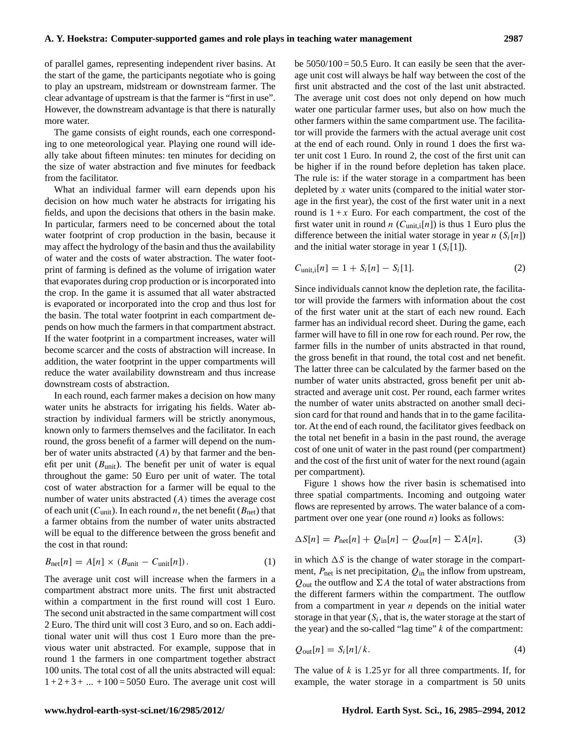of parallel games, representing independent river basins. At the start of the game, the participants negotiate who is going to play an upstream, midstream or downstream farmer. The clear advantage of upstream is that the farmer is "first in use". However, the downstream advantage is that there is naturally more water.

The game consists of eight rounds, each one corresponding to one meteorological year. Playing one round will ideally take about fifteen minutes: ten minutes for deciding on the size of water abstraction and five minutes for feedback from the facilitator.

What an individual farmer will earn depends upon his decision on how much water he abstracts for irrigating his fields, and upon the decisions that others in the basin make. In particular, farmers need to be concerned about the total water footprint of crop production in the basin, because it may affect the hydrology of the basin and thus the availability of water and the costs of water abstraction. The water footprint of farming is defined as the volume of irrigation water that evaporates during crop production or is incorporated into the crop. In the game it is assumed that all water abstracted is evaporated or incorporated into the crop and thus lost for the basin. The total water footprint in each compartment depends on how much the farmers in that compartment abstract. If the water footprint in a compartment increases, water will become scarcer and the costs of abstraction will increase. In addition, the water footprint in the upper compartments will reduce the water availability downstream and thus increase downstream costs of abstraction.

In each round, each farmer makes a decision on how many water units he abstracts for irrigating his fields. Water abstraction by individual farmers will be strictly anonymous, known only to farmers themselves and the facilitator. In each round, the gross benefit of a farmer will depend on the number of water units abstracted (A) by that farmer and the benefit per unit  $(B<sub>unit</sub>)$ . The benefit per unit of water is equal throughout the game: 50 Euro per unit of water. The total cost of water abstraction for a farmer will be equal to the number of water units abstracted  $(A)$  times the average cost of each unit ( $C<sub>unit</sub>$ ). In each round n, the net benefit ( $B<sub>net</sub>$ ) that a farmer obtains from the number of water units abstracted will be equal to the difference between the gross benefit and the cost in that round:

$$
B_{\text{net}}[n] = A[n] \times (B_{\text{unit}} - C_{\text{unit}}[n]). \tag{1}
$$

The average unit cost will increase when the farmers in a compartment abstract more units. The first unit abstracted within a compartment in the first round will cost 1 Euro. The second unit abstracted in the same compartment will cost 2 Euro. The third unit will cost 3 Euro, and so on. Each additional water unit will thus cost 1 Euro more than the previous water unit abstracted. For example, suppose that in round 1 the farmers in one compartment together abstract 100 units. The total cost of all the units abstracted will equal:  $1 + 2 + 3 + ... + 100 = 5050$  Euro. The average unit cost will

be  $5050/100 = 50.5$  Euro. It can easily be seen that the average unit cost will always be half way between the cost of the first unit abstracted and the cost of the last unit abstracted. The average unit cost does not only depend on how much water one particular farmer uses, but also on how much the other farmers within the same compartment use. The facilitator will provide the farmers with the actual average unit cost at the end of each round. Only in round 1 does the first water unit cost 1 Euro. In round 2, the cost of the first unit can be higher if in the round before depletion has taken place. The rule is: if the water storage in a compartment has been depleted by x water units (compared to the initial water storage in the first year), the cost of the first water unit in a next round is  $1 + x$  Euro. For each compartment, the cost of the first water unit in round *n* ( $C_{\text{unit,i}}[n]$ ) is thus 1 Euro plus the difference between the initial water storage in year  $n(S_i[n])$ and the initial water storage in year 1  $(S_i[1])$ .

$$
C_{\text{unit},i}[n] = 1 + S_i[n] - S_i[1]. \tag{2}
$$

Since individuals cannot know the depletion rate, the facilitator will provide the farmers with information about the cost of the first water unit at the start of each new round. Each farmer has an individual record sheet. During the game, each farmer will have to fill in one row for each round. Per row, the farmer fills in the number of units abstracted in that round, the gross benefit in that round, the total cost and net benefit. The latter three can be calculated by the farmer based on the number of water units abstracted, gross benefit per unit abstracted and average unit cost. Per round, each farmer writes the number of water units abstracted on another small decision card for that round and hands that in to the game facilitator. At the end of each round, the facilitator gives feedback on the total net benefit in a basin in the past round, the average cost of one unit of water in the past round (per compartment) and the cost of the first unit of water for the next round (again per compartment).

Figure 1 shows how the river basin is schematised into three spatial compartments. Incoming and outgoing water flows are represented by arrows. The water balance of a compartment over one year (one round  $n$ ) looks as follows:

$$
\Delta S[n] = P_{\text{net}}[n] + Q_{\text{in}}[n] - Q_{\text{out}}[n] - \Sigma A[n],\tag{3}
$$

in which  $\Delta S$  is the change of water storage in the compartment,  $P_{\text{net}}$  is net precipitation,  $Q_{\text{in}}$  the inflow from upstream,  $Q_{\text{out}}$  the outflow and  $\Sigma A$  the total of water abstractions from the different farmers within the compartment. The outflow from a compartment in year  $n$  depends on the initial water storage in that year  $(S_i)$ , that is, the water storage at the start of the year) and the so-called "lag time"  $k$  of the compartment:

$$
Q_{\text{out}}[n] = S_i[n]/k. \tag{4}
$$

The value of  $k$  is 1.25 yr for all three compartments. If, for example, the water storage in a compartment is 50 units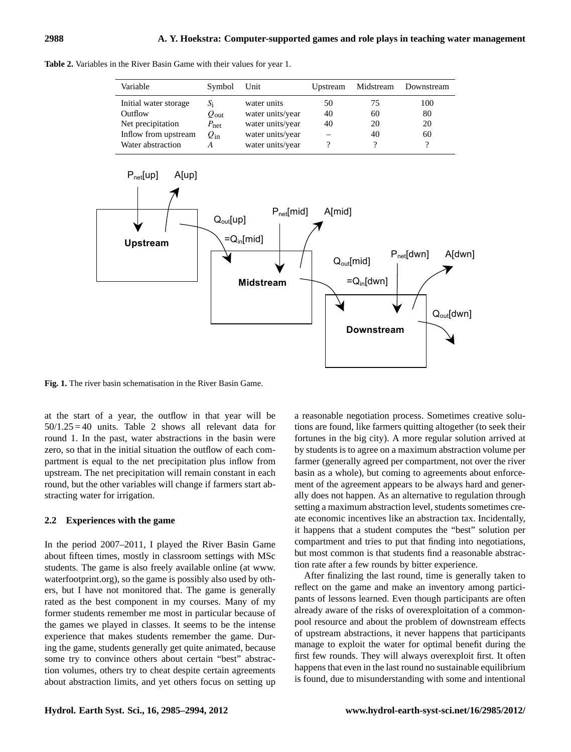|  | <b>Table 2.</b> Variables in the River Basin Game with their values for year 1. |  |  |  |  |  |  |  |  |  |  |
|--|---------------------------------------------------------------------------------|--|--|--|--|--|--|--|--|--|--|
|--|---------------------------------------------------------------------------------|--|--|--|--|--|--|--|--|--|--|

| Variable              | Symbol           | Unit             | Upstream | Midstream | Downstream |
|-----------------------|------------------|------------------|----------|-----------|------------|
| Initial water storage | S.               | water units      | 50       |           | 100        |
| Outflow               | $Q_{\text{out}}$ | water units/year | 40       | 60        | 80         |
| Net precipitation     | $P_{\text{net}}$ | water units/year | 40       | 20        | 20         |
| Inflow from upstream  | $Q_{\rm in}$     | water units/year |          | 40        | 60         |
| Water abstraction     |                  | water units/year |          |           | റ          |



**Fig. 1.** The river basin schematisation in the River Basin Game.

at the start of a year, the outflow in that year will be  $50/1.25 = 40$  units. Table 2 shows all relevant data for round 1. In the past, water abstractions in the basin were zero, so that in the initial situation the outflow of each compartment is equal to the net precipitation plus inflow from upstream. The net precipitation will remain constant in each round, but the other variables will change if farmers start abstracting water for irrigation.

#### **2.2 Experiences with the game**

**Figure 12** Close Play **Example State Player Role Player** Role Player Role Player Role Player Role Player Role Player Role Player Role Player Role Player Role Player Role Player Role Player Role Player Role Player Role Pla In the period 2007–2011, I played the River Basin Game about fifteen times, mostly in classroom settings with MSc students. The game is also freely available online (at [www.](www.waterfootprint.org) ers, but I have not monitored that. The game is generally rated as the best component in my courses. Many of my former students remember me most in particular because of the games we played in classes. It seems to be the intense experience that makes students remember the game. During the game, students generally get quite animated, because some try to convince others about certain "best" abstraction volumes, others try to cheat despite certain agreements about abstraction limits, and yet others focus on setting up

a reasonable negotiation process. Sometimes creative solutions are found, like farmers quitting altogether (to seek their fortunes in the big city). A more regular solution arrived at by students is to agree on a maximum abstraction volume per farmer (generally agreed per compartment, not over the river basin as a whole), but coming to agreements about enforcement of the agreement appears to be always hard and generally does not happen. As an alternative to regulation through setting a maximum abstraction level, students sometimes create economic incentives like an abstraction tax. Incidentally, it happens that a student computes the "best" solution per compartment and tries to put that finding into negotiations, but most common is that students find a reasonable abstraction rate after a few rounds by bitter experience.

After finalizing the last round, time is generally taken to reflect on the game and make an inventory among participants of lessons learned. Even though participants are often already aware of the risks of overexploitation of a commonpool resource and about the problem of downstream effects of upstream abstractions, it never happens that participants manage to exploit the water for optimal benefit during the first few rounds. They will always overexploit first. It often happens that even in the last round no sustainable equilibrium is found, due to misunderstanding with some and intentional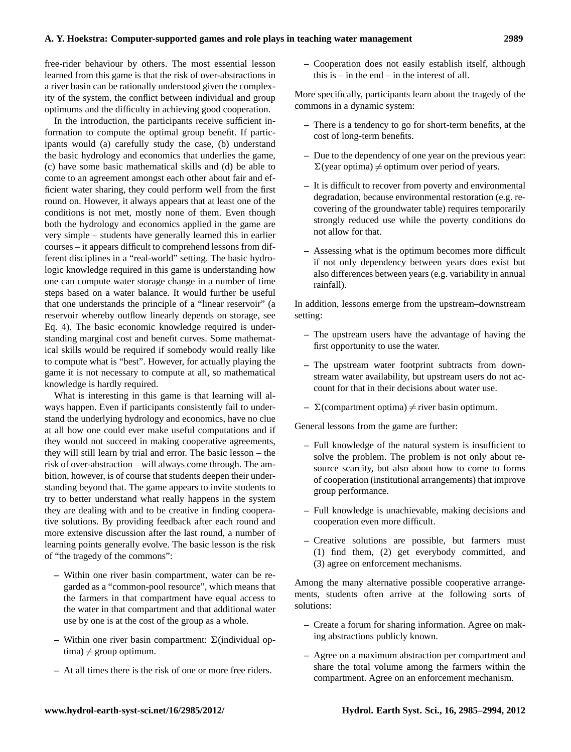free-rider behaviour by others. The most essential lesson learned from this game is that the risk of over-abstractions in a river basin can be rationally understood given the complexity of the system, the conflict between individual and group optimums and the difficulty in achieving good cooperation.

In the introduction, the participants receive sufficient information to compute the optimal group benefit. If participants would (a) carefully study the case, (b) understand the basic hydrology and economics that underlies the game, (c) have some basic mathematical skills and (d) be able to come to an agreement amongst each other about fair and efficient water sharing, they could perform well from the first round on. However, it always appears that at least one of the conditions is not met, mostly none of them. Even though both the hydrology and economics applied in the game are very simple – students have generally learned this in earlier courses – it appears difficult to comprehend lessons from different disciplines in a "real-world" setting. The basic hydrologic knowledge required in this game is understanding how one can compute water storage change in a number of time steps based on a water balance. It would further be useful that one understands the principle of a "linear reservoir" (a reservoir whereby outflow linearly depends on storage, see Eq. 4). The basic economic knowledge required is understanding marginal cost and benefit curves. Some mathematical skills would be required if somebody would really like to compute what is "best". However, for actually playing the game it is not necessary to compute at all, so mathematical knowledge is hardly required.

What is interesting in this game is that learning will always happen. Even if participants consistently fail to understand the underlying hydrology and economics, have no clue at all how one could ever make useful computations and if they would not succeed in making cooperative agreements, they will still learn by trial and error. The basic lesson – the risk of over-abstraction – will always come through. The ambition, however, is of course that students deepen their understanding beyond that. The game appears to invite students to try to better understand what really happens in the system they are dealing with and to be creative in finding cooperative solutions. By providing feedback after each round and more extensive discussion after the last round, a number of learning points generally evolve. The basic lesson is the risk of "the tragedy of the commons":

- **–** Within one river basin compartment, water can be regarded as a "common-pool resource", which means that the farmers in that compartment have equal access to the water in that compartment and that additional water use by one is at the cost of the group as a whole.
- **–** Within one river basin compartment:  $\Sigma$ (individual op $tima) \neq group$  optimum.
- **–** At all times there is the risk of one or more free riders.

**–** Cooperation does not easily establish itself, although this is  $-$  in the end  $-$  in the interest of all.

More specifically, participants learn about the tragedy of the commons in a dynamic system:

- **–** There is a tendency to go for short-term benefits, at the cost of long-term benefits.
- **–** Due to the dependency of one year on the previous year:  $\Sigma$ (year optima)  $\neq$  optimum over period of years.
- **–** It is difficult to recover from poverty and environmental degradation, because environmental restoration (e.g. recovering of the groundwater table) requires temporarily strongly reduced use while the poverty conditions do not allow for that.
- **–** Assessing what is the optimum becomes more difficult if not only dependency between years does exist but also differences between years (e.g. variability in annual rainfall).

In addition, lessons emerge from the upstream–downstream setting:

- **–** The upstream users have the advantage of having the first opportunity to use the water.
- **–** The upstream water footprint subtracts from downstream water availability, but upstream users do not account for that in their decisions about water use.
- $\overline{\phantom{a}}$   $\geq$  6 (compartment optima)  $\neq$  river basin optimum.

General lessons from the game are further:

- **–** Full knowledge of the natural system is insufficient to solve the problem. The problem is not only about resource scarcity, but also about how to come to forms of cooperation (institutional arrangements) that improve group performance.
- **–** Full knowledge is unachievable, making decisions and cooperation even more difficult.
- **–** Creative solutions are possible, but farmers must (1) find them, (2) get everybody committed, and (3) agree on enforcement mechanisms.

Among the many alternative possible cooperative arrangements, students often arrive at the following sorts of solutions:

- **–** Create a forum for sharing information. Agree on making abstractions publicly known.
- **–** Agree on a maximum abstraction per compartment and share the total volume among the farmers within the compartment. Agree on an enforcement mechanism.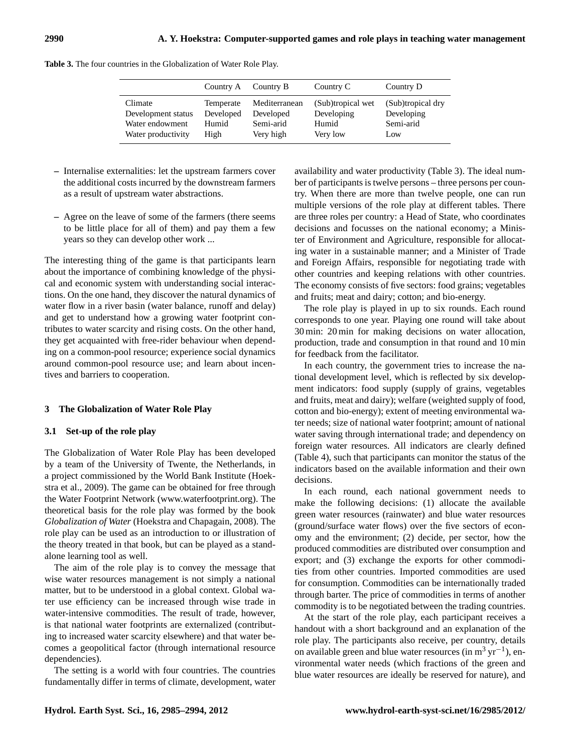|                    | Country A | Country B     | Country C         | Country D         |
|--------------------|-----------|---------------|-------------------|-------------------|
| Climate            | Temperate | Mediterranean | (Sub)tropical wet | (Sub)tropical dry |
| Development status | Developed | Developed     | Developing        | Developing        |
| Water endowment    | Humid     | Semi-arid     | Humid             | Semi-arid         |
| Water productivity | High      | Very high     | Very low          | Low               |

**Table 3.** The four countries in the Globalization of Water Role Play.

- **–** Internalise externalities: let the upstream farmers cover the additional costs incurred by the downstream farmers as a result of upstream water abstractions.
- **–** Agree on the leave of some of the farmers (there seems to be little place for all of them) and pay them a few years so they can develop other work ...

The interesting thing of the game is that participants learn about the importance of combining knowledge of the physical and economic system with understanding social interactions. On the one hand, they discover the natural dynamics of water flow in a river basin (water balance, runoff and delay) and get to understand how a growing water footprint contributes to water scarcity and rising costs. On the other hand, they get acquainted with free-rider behaviour when depending on a common-pool resource; experience social dynamics around common-pool resource use; and learn about incentives and barriers to cooperation.

## **3 The Globalization of Water Role Play**

## **3.1 Set-up of the role play**

The Globalization of Water Role Play has been developed by a team of the University of Twente, the Netherlands, in a project commissioned by the World Bank Institute (Hoekstra et al., 2009). The game can be obtained for free through the Water Footprint Network [\(www.waterfootprint.org\)](www.waterfootprint.org). The theoretical basis for the role play was formed by the book *Globalization of Water* (Hoekstra and Chapagain, 2008). The role play can be used as an introduction to or illustration of the theory treated in that book, but can be played as a standalone learning tool as well.

The aim of the role play is to convey the message that wise water resources management is not simply a national matter, but to be understood in a global context. Global water use efficiency can be increased through wise trade in water-intensive commodities. The result of trade, however, is that national water footprints are externalized (contributing to increased water scarcity elsewhere) and that water becomes a geopolitical factor (through international resource dependencies).

The setting is a world with four countries. The countries fundamentally differ in terms of climate, development, water availability and water productivity (Table 3). The ideal number of participants is twelve persons – three persons per country. When there are more than twelve people, one can run multiple versions of the role play at different tables. There are three roles per country: a Head of State, who coordinates decisions and focusses on the national economy; a Minister of Environment and Agriculture, responsible for allocating water in a sustainable manner; and a Minister of Trade and Foreign Affairs, responsible for negotiating trade with other countries and keeping relations with other countries. The economy consists of five sectors: food grains; vegetables and fruits; meat and dairy; cotton; and bio-energy.

The role play is played in up to six rounds. Each round corresponds to one year. Playing one round will take about 30 min: 20 min for making decisions on water allocation, production, trade and consumption in that round and 10 min for feedback from the facilitator.

In each country, the government tries to increase the national development level, which is reflected by six development indicators: food supply (supply of grains, vegetables and fruits, meat and dairy); welfare (weighted supply of food, cotton and bio-energy); extent of meeting environmental water needs; size of national water footprint; amount of national water saving through international trade; and dependency on foreign water resources. All indicators are clearly defined (Table 4), such that participants can monitor the status of the indicators based on the available information and their own decisions.

In each round, each national government needs to make the following decisions: (1) allocate the available green water resources (rainwater) and blue water resources (ground/surface water flows) over the five sectors of economy and the environment; (2) decide, per sector, how the produced commodities are distributed over consumption and export; and (3) exchange the exports for other commodities from other countries. Imported commodities are used for consumption. Commodities can be internationally traded through barter. The price of commodities in terms of another commodity is to be negotiated between the trading countries.

At the start of the role play, each participant receives a handout with a short background and an explanation of the role play. The participants also receive, per country, details on available green and blue water resources (in  $m^3$  yr<sup>-1</sup>), environmental water needs (which fractions of the green and blue water resources are ideally be reserved for nature), and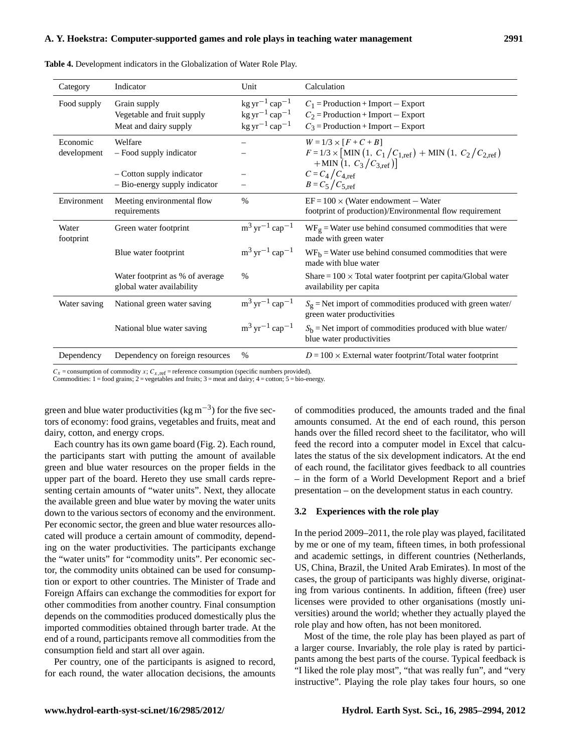| Category                | Indicator                                                           | Unit                                                                                                | Calculation                                                                                                                                        |
|-------------------------|---------------------------------------------------------------------|-----------------------------------------------------------------------------------------------------|----------------------------------------------------------------------------------------------------------------------------------------------------|
| Food supply             | Grain supply<br>Vegetable and fruit supply<br>Meat and dairy supply | $\text{kg yr}^{-1} \text{cap}^{-1}$<br>$\text{kg yr}^{-1} \text{cap}^{-1}$<br>$kg yr^{-1} cap^{-1}$ | $C_1$ = Production + Import – Export<br>$C_2$ = Production + Import – Export<br>$C_3$ = Production + Import – Export                               |
| Economic<br>development | Welfare<br>- Food supply indicator                                  |                                                                                                     | $W = 1/3 \times [F + C + B]$<br>$F = 1/3 \times \text{[MIN (1, C_1 / C_{1,ref}) + MIN (1, C_2 / C_{2,ref})}$<br>+MIN $(1, C_3 / C_{3,\text{ref}})$ |
|                         | - Cotton supply indicator<br>- Bio-energy supply indicator          |                                                                                                     | $C = C_4 / C_{4,\text{ref}}$<br>$B=C_5/C_{5,\text{ref}}$                                                                                           |
| Environment             | Meeting environmental flow<br>requirements                          | $\%$                                                                                                | $EF = 100 \times$ (Water endowment – Water<br>footprint of production)/Environmental flow requirement                                              |
| Water<br>footprint      | Green water footprint                                               | $\rm m^3 \, yr^{-1} \, cap^{-1}$                                                                    | $WF_g = Water$ use behind consumed commodities that were<br>made with green water                                                                  |
|                         | Blue water footprint                                                | $\rm m^3 \, yr^{-1} \, cap^{-1}$                                                                    | $WF_b$ = Water use behind consumed commodities that were<br>made with blue water                                                                   |
|                         | Water footprint as % of average<br>global water availability        | $\%$                                                                                                | Share = $100 \times$ Total water footprint per capita/Global water<br>availability per capita                                                      |
| Water saving            | National green water saving                                         | $m^3 yr^{-1} cap^{-1}$                                                                              | $S_g$ = Net import of commodities produced with green water/<br>green water productivities                                                         |
|                         | National blue water saving                                          | $\rm m^3 \, yr^{-1} \, cap^{-1}$                                                                    | $S_b$ = Net import of commodities produced with blue water/<br>blue water productivities                                                           |
| Dependency              | Dependency on foreign resources                                     | %                                                                                                   | $D = 100 \times$ External water footprint/Total water footprint                                                                                    |

**Table 4.** Development indicators in the Globalization of Water Role Play.

 $C_x$  = consumption of commodity x;  $C_{x,ref}$  = reference consumption (specific numbers provided).

Commodities:  $1 =$  food grains;  $2 =$  vegetables and fruits;  $3 =$  meat and dairy;  $4 =$  cotton;  $5 =$  bio-energy.

green and blue water productivities ( $\text{kg m}^{-3}$ ) for the five sectors of economy: food grains, vegetables and fruits, meat and dairy, cotton, and energy crops.

Each country has its own game board (Fig. 2). Each round, the participants start with putting the amount of available green and blue water resources on the proper fields in the upper part of the board. Hereto they use small cards representing certain amounts of "water units". Next, they allocate the available green and blue water by moving the water units down to the various sectors of economy and the environment. Per economic sector, the green and blue water resources allocated will produce a certain amount of commodity, depending on the water productivities. The participants exchange the "water units" for "commodity units". Per economic sector, the commodity units obtained can be used for consumption or export to other countries. The Minister of Trade and Foreign Affairs can exchange the commodities for export for other commodities from another country. Final consumption depends on the commodities produced domestically plus the imported commodities obtained through barter trade. At the end of a round, participants remove all commodities from the consumption field and start all over again.

Per country, one of the participants is asigned to record, for each round, the water allocation decisions, the amounts of commodities produced, the amounts traded and the final amounts consumed. At the end of each round, this person hands over the filled record sheet to the facilitator, who will feed the record into a computer model in Excel that calculates the status of the six development indicators. At the end of each round, the facilitator gives feedback to all countries – in the form of a World Development Report and a brief presentation – on the development status in each country.

#### **3.2 Experiences with the role play**

In the period 2009–2011, the role play was played, facilitated by me or one of my team, fifteen times, in both professional and academic settings, in different countries (Netherlands, US, China, Brazil, the United Arab Emirates). In most of the cases, the group of participants was highly diverse, originating from various continents. In addition, fifteen (free) user licenses were provided to other organisations (mostly universities) around the world; whether they actually played the role play and how often, has not been monitored.

Most of the time, the role play has been played as part of a larger course. Invariably, the role play is rated by participants among the best parts of the course. Typical feedback is "I liked the role play most", "that was really fun", and "very instructive". Playing the role play takes four hours, so one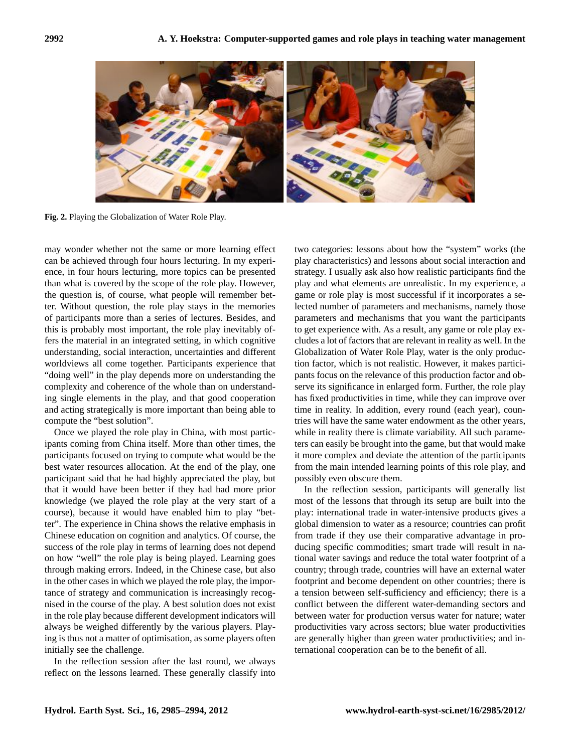

**Fig. 2.** Playing the Globalization of Water Role Play. **Fig. 2.** Playing the Globalization of Water Role Play.

may wonder whether not the same or more learning effect can be achieved through four hours lecturing. In my experience, in four hours lecturing, more topics can be presented than what is covered by the scope of the role play. However, the question is, of course, what people will remember better. Without question, the role play stays in the memories of participants more than a series of lectures. Besides, and this is probably most important, the role play inevitably offers the material in an integrated setting, in which cognitive understanding, social interaction, uncertainties and different worldviews all come together. Participants experience that "doing well" in the play depends more on understanding the complexity and coherence of the whole than on understanding single elements in the play, and that good cooperation and acting strategically is more important than being able to compute the "best solution".

Once we played the role play in China, with most participants coming from China itself. More than other times, the participants focused on trying to compute what would be the best water resources allocation. At the end of the play, one participant said that he had highly appreciated the play, but that it would have been better if they had had more prior knowledge (we played the role play at the very start of a course), because it would have enabled him to play "better". The experience in China shows the relative emphasis in Chinese education on cognition and analytics. Of course, the success of the role play in terms of learning does not depend on how "well" the role play is being played. Learning goes through making errors. Indeed, in the Chinese case, but also in the other cases in which we played the role play, the importance of strategy and communication is increasingly recognised in the course of the play. A best solution does not exist in the role play because different development indicators will always be weighed differently by the various players. Playing is thus not a matter of optimisation, as some players often initially see the challenge.

In the reflection session after the last round, we always reflect on the lessons learned. These generally classify into

it more complex and deviate the attention of the participants two categories: lessons about how the "system" works (the play characteristics) and lessons about social interaction and strategy. I usually ask also how realistic participants find the play and what elements are unrealistic. In my experience, a game or role play is most successful if it incorporates a selected number of parameters and mechanisms, namely those parameters and mechanisms that you want the participants to get experience with. As a result, any game or role play excludes a lot of factors that are relevant in reality as well. In the Globalization of Water Role Play, water is the only production factor, which is not realistic. However, it makes participants focus on the relevance of this production factor and observe its significance in enlarged form. Further, the role play has fixed productivities in time, while they can improve over time in reality. In addition, every round (each year), countries will have the same water endowment as the other years, while in reality there is climate variability. All such parameters can easily be brought into the game, but that would make from the main intended learning points of this role play, and possibly even obscure them.

In the reflection session, participants will generally list most of the lessons that through its setup are built into the play: international trade in water-intensive products gives a global dimension to water as a resource; countries can profit from trade if they use their comparative advantage in producing specific commodities; smart trade will result in national water savings and reduce the total water footprint of a country; through trade, countries will have an external water footprint and become dependent on other countries; there is a tension between self-sufficiency and efficiency; there is a conflict between the different water-demanding sectors and between water for production versus water for nature; water productivities vary across sectors; blue water productivities are generally higher than green water productivities; and international cooperation can be to the benefit of all.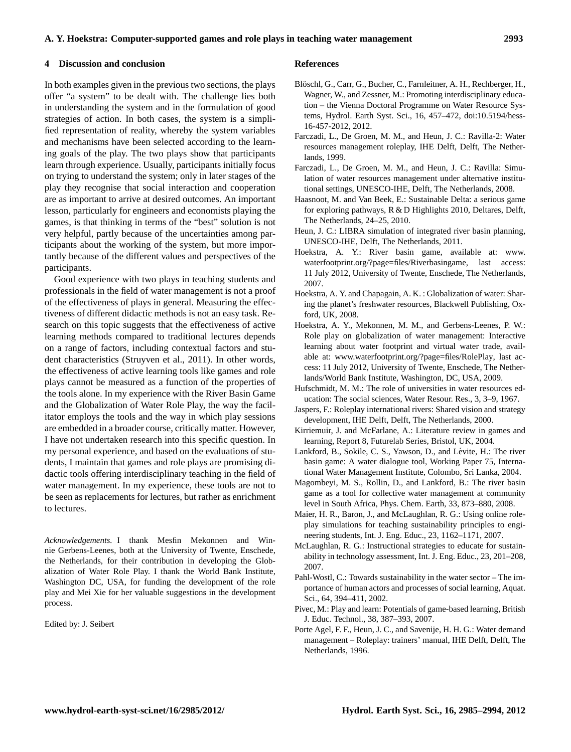#### **4 Discussion and conclusion**

In both examples given in the previous two sections, the plays offer "a system" to be dealt with. The challenge lies both in understanding the system and in the formulation of good strategies of action. In both cases, the system is a simplified representation of reality, whereby the system variables and mechanisms have been selected according to the learning goals of the play. The two plays show that participants learn through experience. Usually, participants initially focus on trying to understand the system; only in later stages of the play they recognise that social interaction and cooperation are as important to arrive at desired outcomes. An important lesson, particularly for engineers and economists playing the games, is that thinking in terms of the "best" solution is not very helpful, partly because of the uncertainties among participants about the working of the system, but more importantly because of the different values and perspectives of the participants.

Good experience with two plays in teaching students and professionals in the field of water management is not a proof of the effectiveness of plays in general. Measuring the effectiveness of different didactic methods is not an easy task. Research on this topic suggests that the effectiveness of active learning methods compared to traditional lectures depends on a range of factors, including contextual factors and student characteristics (Struyven et al., 2011). In other words, the effectiveness of active learning tools like games and role plays cannot be measured as a function of the properties of the tools alone. In my experience with the River Basin Game and the Globalization of Water Role Play, the way the facilitator employs the tools and the way in which play sessions are embedded in a broader course, critically matter. However, I have not undertaken research into this specific question. In my personal experience, and based on the evaluations of students, I maintain that games and role plays are promising didactic tools offering interdisciplinary teaching in the field of water management. In my experience, these tools are not to be seen as replacements for lectures, but rather as enrichment to lectures.

*Acknowledgements.* I thank Mesfin Mekonnen and Winnie Gerbens-Leenes, both at the University of Twente, Enschede, the Netherlands, for their contribution in developing the Globalization of Water Role Play. I thank the World Bank Institute, Washington DC, USA, for funding the development of the role play and Mei Xie for her valuable suggestions in the development process.

Edited by: J. Seibert

#### **References**

- Blöschl, G., Carr, G., Bucher, C., Farnleitner, A. H., Rechberger, H., Wagner, W., and Zessner, M.: Promoting interdisciplinary education – the Vienna Doctoral Programme on Water Resource Systems, Hydrol. Earth Syst. Sci., 16, 457–472, [doi:10.5194/hess-](http://dx.doi.org/10.5194/hess-16-457-2012)[16-457-2012,](http://dx.doi.org/10.5194/hess-16-457-2012) 2012.
- Farczadi, L., De Groen, M. M., and Heun, J. C.: Ravilla-2: Water resources management roleplay, IHE Delft, Delft, The Netherlands, 1999.
- Farczadi, L., De Groen, M. M., and Heun, J. C.: Ravilla: Simulation of water resources management under alternative institutional settings, UNESCO-IHE, Delft, The Netherlands, 2008.
- Haasnoot, M. and Van Beek, E.: Sustainable Delta: a serious game for exploring pathways, R & D Highlights 2010, Deltares, Delft, The Netherlands, 24–25, 2010.
- Heun, J. C.: LIBRA simulation of integrated river basin planning, UNESCO-IHE, Delft, The Netherlands, 2011.
- Hoekstra, A. Y.: River basin game, available at: [www.](www.waterfootprint.org/?page=files/Riverbasingame) [waterfootprint.org/?page=files/Riverbasingame,](www.waterfootprint.org/?page=files/Riverbasingame) last access: 11 July 2012, University of Twente, Enschede, The Netherlands, 2007.
- Hoekstra, A. Y. and Chapagain, A. K. : Globalization of water: Sharing the planet's freshwater resources, Blackwell Publishing, Oxford, UK, 2008.
- Hoekstra, A. Y., Mekonnen, M. M., and Gerbens-Leenes, P. W.: Role play on globalization of water management: Interactive learning about water footprint and virtual water trade, available at: [www.waterfootprint.org/?page=files/RolePlay,](www.waterfootprint.org/?page=files/RolePlay) last access: 11 July 2012, University of Twente, Enschede, The Netherlands/World Bank Institute, Washington, DC, USA, 2009.
- Hufschmidt, M. M.: The role of universities in water resources education: The social sciences, Water Resour. Res., 3, 3–9, 1967.
- Jaspers, F.: Roleplay international rivers: Shared vision and strategy development, IHE Delft, Delft, The Netherlands, 2000.
- Kirriemuir, J. and McFarlane, A.: Literature review in games and learning, Report 8, Futurelab Series, Bristol, UK, 2004.
- Lankford, B., Sokile, C. S., Yawson, D., and Lévite, H.: The river basin game: A water dialogue tool, Working Paper 75, International Water Management Institute, Colombo, Sri Lanka, 2004.
- Magombeyi, M. S., Rollin, D., and Lankford, B.: The river basin game as a tool for collective water management at community level in South Africa, Phys. Chem. Earth, 33, 873–880, 2008.
- Maier, H. R., Baron, J., and McLaughlan, R. G.: Using online roleplay simulations for teaching sustainability principles to engineering students, Int. J. Eng. Educ., 23, 1162–1171, 2007.
- McLaughlan, R. G.: Instructional strategies to educate for sustainability in technology assessment, Int. J. Eng. Educ., 23, 201–208, 2007.
- Pahl-Wostl, C.: Towards sustainability in the water sector The importance of human actors and processes of social learning, Aquat. Sci., 64, 394–411, 2002.
- Pivec, M.: Play and learn: Potentials of game-based learning, British J. Educ. Technol., 38, 387–393, 2007.
- Porte Agel, F. F., Heun, J. C., and Savenije, H. H. G.: Water demand management – Roleplay: trainers' manual, IHE Delft, Delft, The Netherlands, 1996.